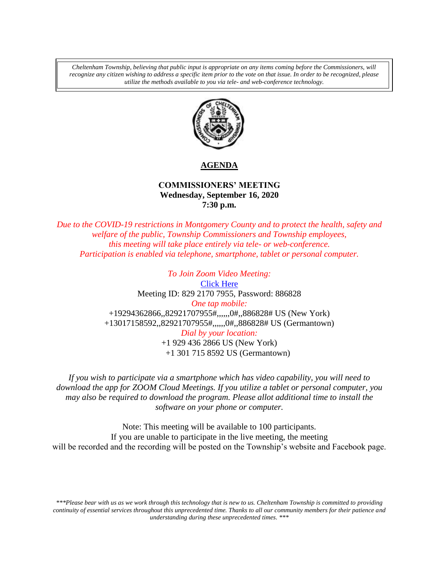*Cheltenham Township, believing that public input is appropriate on any items coming before the Commissioners, will recognize any citizen wishing to address a specific item prior to the vote on that issue. In order to be recognized, please utilize the methods available to you via tele- and web-conference technology.*



## **AGENDA**

## **COMMISSIONERS' MEETING Wednesday, September 16, 2020 7:30 p.m.**

*Due to the COVID-19 restrictions in Montgomery County and to protect the health, safety and welfare of the public, Township Commissioners and Township employees, this meeting will take place entirely via tele- or web-conference. Participation is enabled via telephone, smartphone, tablet or personal computer.*

> *To Join Zoom Video Meeting:* [Click Here](https://us02web.zoom.us/j/82921707955?pwd=MDFiNXBnQ00wZzg1R3p4endyL0xWZz09) Meeting ID: 829 2170 7955, Password: 886828 *One tap mobile:* +19294362866,,82921707955#,,,,,,0#,,886828# US (New York) +13017158592,,82921707955#,,,,,,0#,,886828# US (Germantown) *Dial by your location:* +1 929 436 2866 US (New York) +1 301 715 8592 US (Germantown)

*If you wish to participate via a smartphone which has video capability, you will need to download the app for ZOOM Cloud Meetings. If you utilize a tablet or personal computer, you may also be required to download the program. Please allot additional time to install the software on your phone or computer.* 

Note: This meeting will be available to 100 participants. If you are unable to participate in the live meeting, the meeting will be recorded and the recording will be posted on the Township's website and Facebook page.

*\*\*\*Please bear with us as we work through this technology that is new to us. Cheltenham Township is committed to providing continuity of essential services throughout this unprecedented time. Thanks to all our community members for their patience and understanding during these unprecedented times. \*\*\**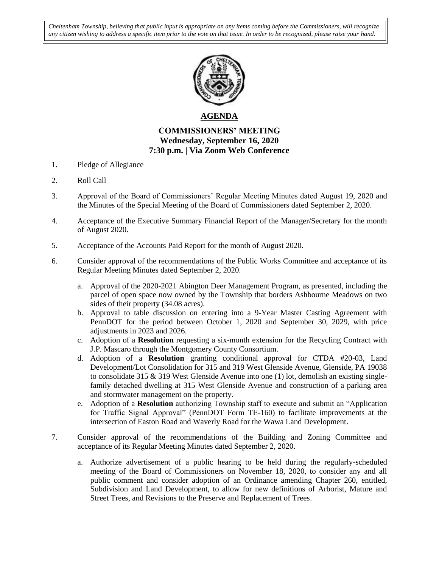*Cheltenham Township, believing that public input is appropriate on any items coming before the Commissioners, will recognize any citizen wishing to address a specific item prior to the vote on that issue. In order to be recognized, please raise your hand.*



# **AGENDA**

### **COMMISSIONERS' MEETING Wednesday, September 16, 2020 7:30 p.m. | Via Zoom Web Conference**

- 1. Pledge of Allegiance
- 2. Roll Call
- 3. Approval of the Board of Commissioners' Regular Meeting Minutes dated August 19, 2020 and the Minutes of the Special Meeting of the Board of Commissioners dated September 2, 2020.
- 4. Acceptance of the Executive Summary Financial Report of the Manager/Secretary for the month of August 2020.
- 5. Acceptance of the Accounts Paid Report for the month of August 2020.
- 6. Consider approval of the recommendations of the Public Works Committee and acceptance of its Regular Meeting Minutes dated September 2, 2020.
	- a. Approval of the 2020-2021 Abington Deer Management Program, as presented, including the parcel of open space now owned by the Township that borders Ashbourne Meadows on two sides of their property (34.08 acres).
	- b. Approval to table discussion on entering into a 9-Year Master Casting Agreement with PennDOT for the period between October 1, 2020 and September 30, 2029, with price adjustments in 2023 and 2026.
	- c. Adoption of a **Resolution** requesting a six-month extension for the Recycling Contract with J.P. Mascaro through the Montgomery County Consortium.
	- d. Adoption of a **Resolution** granting conditional approval for CTDA #20-03, Land Development/Lot Consolidation for 315 and 319 West Glenside Avenue, Glenside, PA 19038 to consolidate 315  $\&$  319 West Glenside Avenue into one (1) lot, demolish an existing singlefamily detached dwelling at 315 West Glenside Avenue and construction of a parking area and stormwater management on the property.
	- e. Adoption of a **Resolution** authorizing Township staff to execute and submit an "Application for Traffic Signal Approval" (PennDOT Form TE-160) to facilitate improvements at the intersection of Easton Road and Waverly Road for the Wawa Land Development.
- 7. Consider approval of the recommendations of the Building and Zoning Committee and acceptance of its Regular Meeting Minutes dated September 2, 2020.
	- a. Authorize advertisement of a public hearing to be held during the regularly-scheduled meeting of the Board of Commissioners on November 18, 2020, to consider any and all public comment and consider adoption of an Ordinance amending Chapter 260, entitled, Subdivision and Land Development, to allow for new definitions of Arborist, Mature and Street Trees, and Revisions to the Preserve and Replacement of Trees.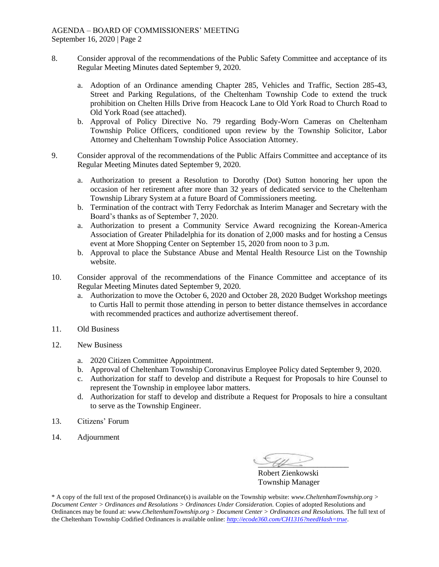- 8. Consider approval of the recommendations of the Public Safety Committee and acceptance of its Regular Meeting Minutes dated September 9, 2020.
	- a. Adoption of an Ordinance amending Chapter 285, Vehicles and Traffic, Section 285-43, Street and Parking Regulations, of the Cheltenham Township Code to extend the truck prohibition on Chelten Hills Drive from Heacock Lane to Old York Road to Church Road to Old York Road (see attached).
	- b. Approval of Policy Directive No. 79 regarding Body-Worn Cameras on Cheltenham Township Police Officers, conditioned upon review by the Township Solicitor, Labor Attorney and Cheltenham Township Police Association Attorney.
- 9. Consider approval of the recommendations of the Public Affairs Committee and acceptance of its Regular Meeting Minutes dated September 9, 2020.
	- a. Authorization to present a Resolution to Dorothy (Dot) Sutton honoring her upon the occasion of her retirement after more than 32 years of dedicated service to the Cheltenham Township Library System at a future Board of Commissioners meeting.
	- b. Termination of the contract with Terry Fedorchak as Interim Manager and Secretary with the Board's thanks as of September 7, 2020.
	- a. Authorization to present a Community Service Award recognizing the Korean-America Association of Greater Philadelphia for its donation of 2,000 masks and for hosting a Census event at More Shopping Center on September 15, 2020 from noon to 3 p.m.
	- b. Approval to place the Substance Abuse and Mental Health Resource List on the Township website.
- 10. Consider approval of the recommendations of the Finance Committee and acceptance of its Regular Meeting Minutes dated September 9, 2020.
	- a. Authorization to move the October 6, 2020 and October 28, 2020 Budget Workshop meetings to Curtis Hall to permit those attending in person to better distance themselves in accordance with recommended practices and authorize advertisement thereof.
- 11. Old Business
- 12. New Business
	- a. 2020 Citizen Committee Appointment.
	- b. Approval of Cheltenham Township Coronavirus Employee Policy dated September 9, 2020.
	- c. Authorization for staff to develop and distribute a Request for Proposals to hire Counsel to represent the Township in employee labor matters.
	- d. Authorization for staff to develop and distribute a Request for Proposals to hire a consultant to serve as the Township Engineer.
- 13. Citizens' Forum
- 14. Adjournment

 $\mathscr{A}$ 

Robert Zienkowski Township Manager

\* A copy of the full text of the proposed Ordinance(s) is available on the Township website: *www.CheltenhamTownship.org > Document Center > Ordinances and Resolutions > Ordinances Under Consideration.* Copies of adopted Resolutions and Ordinances may be found at: *www.CheltenhamTownship.org > Document Center > Ordinances and Resolutions.* The full text of the Cheltenham Township Codified Ordinances is available online: *<http://ecode360.com/CH1316?needHash=true>*.